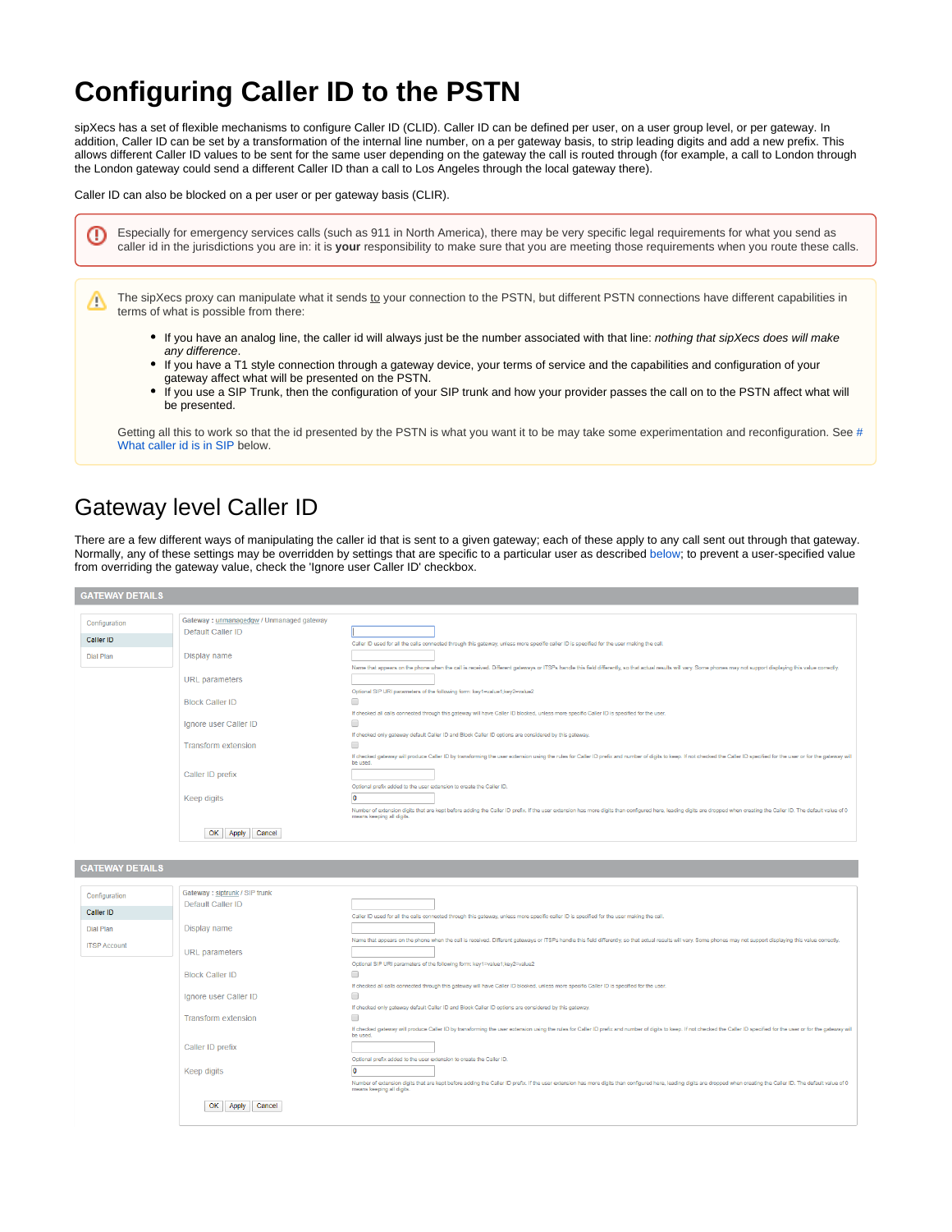# **Configuring Caller ID to the PSTN**

sipXecs has a set of flexible mechanisms to configure Caller ID (CLID). Caller ID can be defined per user, on a user group level, or per gateway. In addition, Caller ID can be set by a transformation of the internal line number, on a per gateway basis, to strip leading digits and add a new prefix. This allows different Caller ID values to be sent for the same user depending on the gateway the call is routed through (for example, a call to London through the London gateway could send a different Caller ID than a call to Los Angeles through the local gateway there).

Caller ID can also be blocked on a per user or per gateway basis (CLIR).

Especially for emergency services calls (such as 911 in North America), there may be very specific legal requirements for what you send as ത caller id in the jurisdictions you are in: it is **your** responsibility to make sure that you are meeting those requirements when you route these calls.

The sipXecs proxy can manipulate what it sends to your connection to the PSTN, but different PSTN connections have different capabilities in terms of what is possible from there:

- If you have an analog line, the caller id will always just be the number associated with that line: *nothing that sipXecs does will make* any difference.
- If you have a T1 style connection through a gateway device, your terms of service and the capabilities and configuration of your gateway affect what will be presented on the PSTN.
- If you use a SIP Trunk, then the configuration of your SIP trunk and how your provider passes the call on to the PSTN affect what will be presented.

Getting all this to work so that the id presented by the PSTN is what you want it to be may take some experimentation and reconfiguration. See [#](https://wiki.ezuce.com/pages/viewpage.action?pageId=46596238#ConfiguringCallerIDtothePSTN-WhatcalleridisinSIP) [What caller id is in SIP](https://wiki.ezuce.com/pages/viewpage.action?pageId=46596238#ConfiguringCallerIDtothePSTN-WhatcalleridisinSIP) below.

## Gateway level Caller ID

Δ

There are a few different ways of manipulating the caller id that is sent to a given gateway; each of these apply to any call sent out through that gateway. Normally, any of these settings may be overridden by settings that are specific to a particular user as described [below;](https://wiki.ezuce.com/pages/viewpage.action?pageId=46596238#ConfiguringCallerIDtothePSTN-UserspecificCallerID) to prevent a user-specified value from overriding the gateway value, check the 'Ignore user Caller ID' checkbox.

| Configuration    | Gateway: unmanagedgw / Unmanaged gateway |                                                                                                                                                                                                                                                      |
|------------------|------------------------------------------|------------------------------------------------------------------------------------------------------------------------------------------------------------------------------------------------------------------------------------------------------|
| <b>Caller ID</b> | Default Caller ID                        |                                                                                                                                                                                                                                                      |
|                  |                                          | Caller ID used for all the calls connected through this gateway, unless more specific caller ID is specified for the user making the call.                                                                                                           |
| <b>Dial Plan</b> | Display name                             |                                                                                                                                                                                                                                                      |
|                  |                                          | Name that appears on the phone when the call is received. Different gateways or ITSPs handle this field differently, so that actual results will vary. Some phones may not support displaying this value correctly,                                  |
|                  | <b>URL</b> parameters                    |                                                                                                                                                                                                                                                      |
|                  |                                          | Optional SIP URI parameters of the following form: key1=value1;key2=value2                                                                                                                                                                           |
|                  | <b>Block Caller ID</b>                   | ∩                                                                                                                                                                                                                                                    |
|                  |                                          | If checked all calls connected through this gateway will have Caller ID blocked, unless more specific Caller ID is specified for the user.                                                                                                           |
|                  | Ignore user Caller ID                    | ∩                                                                                                                                                                                                                                                    |
|                  |                                          | If checked only gateway default Caller ID and Block Caller ID options are considered by this gateway.                                                                                                                                                |
|                  | <b>Transform extension</b>               | o                                                                                                                                                                                                                                                    |
|                  |                                          | If checked gateway will produce Caller ID by transforming the user extension using the rules for Caller ID prefix and number of digits to keep. If not checked the Caller ID specified for the user or for the gateway will<br>be used.              |
|                  | Caller ID prefix                         |                                                                                                                                                                                                                                                      |
|                  |                                          | Optional prefix added to the user extension to create the Caller ID.                                                                                                                                                                                 |
|                  | Keep digits                              |                                                                                                                                                                                                                                                      |
|                  |                                          | Number of extension digits that are kept before adding the Caller ID prefix. If the user extension has more digits than configured here, leading digits are dropped when creating the Caller ID. The default value of 0<br>means keeping all digits. |
|                  | OK<br>Cancel<br>Apply                    |                                                                                                                                                                                                                                                      |

| <b>GATEWAY DETAILS</b> |  |  |  |
|------------------------|--|--|--|

| 9A11-WAI 9-1A1-9    |                                |                                                                                                                                                                                                                                                      |
|---------------------|--------------------------------|------------------------------------------------------------------------------------------------------------------------------------------------------------------------------------------------------------------------------------------------------|
|                     |                                |                                                                                                                                                                                                                                                      |
| Configuration       | Gateway : siptrunk / SIP trunk |                                                                                                                                                                                                                                                      |
|                     | Default Caller ID              |                                                                                                                                                                                                                                                      |
| Caller ID           |                                | Caller ID used for all the calls connected through this gateway, unless more specific caller ID is specified for the user making the call.                                                                                                           |
| <b>Dial Plan</b>    | Display name                   |                                                                                                                                                                                                                                                      |
| <b>ITSP Account</b> |                                | Name that appears on the phone when the call is received. Different gateways or ITSPs handle this field differently, so that actual results will vary. Some phones may not support displaying this value correctly.                                  |
|                     | URL parameters                 |                                                                                                                                                                                                                                                      |
|                     |                                | Optional SIP URI parameters of the following form: key1=value1;key2=value2                                                                                                                                                                           |
|                     | <b>Block Caller ID</b>         |                                                                                                                                                                                                                                                      |
|                     |                                | If checked all calls connected through this gateway will have Caller ID blocked, unless more specific Caller ID is specified for the user.                                                                                                           |
|                     | Ignore user Caller ID          | $\Box$                                                                                                                                                                                                                                               |
|                     |                                | If checked only gateway default Caller ID and Block Caller ID options are considered by this gateway.                                                                                                                                                |
|                     | <b>Transform extension</b>     | $\Box$                                                                                                                                                                                                                                               |
|                     |                                | If checked gateway will produce Caller ID by transforming the user extension using the rules for Caller ID prefix and number of digits to keep. If not checked the Caller ID specified for the user or for the gateway will<br>be used.              |
|                     | Caller ID prefix               |                                                                                                                                                                                                                                                      |
|                     |                                | Optional prefix added to the user extension to create the Caller ID.                                                                                                                                                                                 |
|                     | Keep digits                    |                                                                                                                                                                                                                                                      |
|                     |                                | Number of extension digits that are kept before adding the Caller ID prefix. If the user extension has more digits than configured here, leading digits are dropped when creating the Caller ID. The default value of 0<br>means keeping all digits. |
|                     | OK<br>Apply<br>Cancel          |                                                                                                                                                                                                                                                      |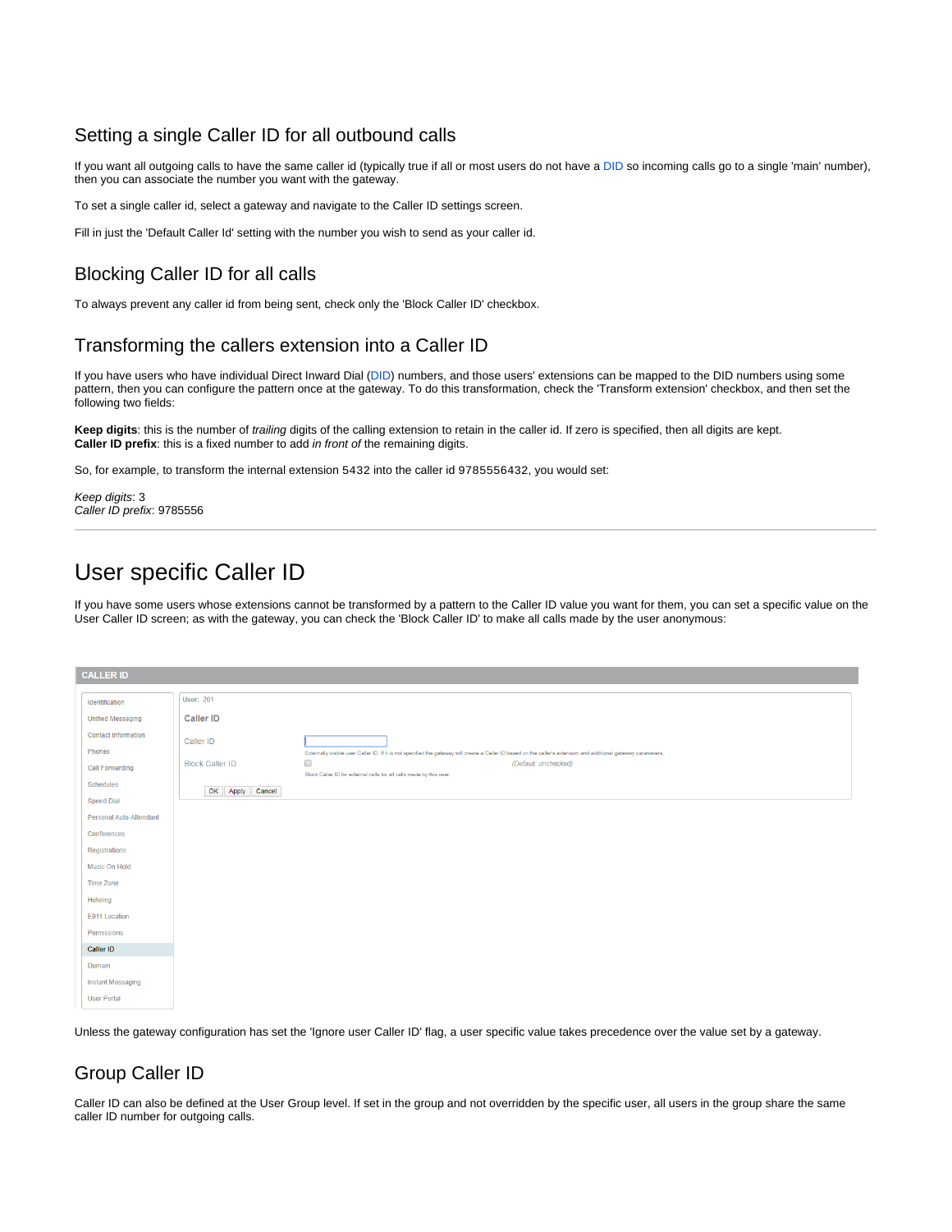#### Setting a single Caller ID for all outbound calls

If you want all outgoing calls to have the same caller id (typically true if all or most users do not have a DID so incoming calls go to a single 'main' number), then you can associate the number you want with the gateway.

To set a single caller id, select a gateway and navigate to the Caller ID settings screen.

Fill in just the 'Default Caller Id' setting with the number you wish to send as your caller id.

#### Blocking Caller ID for all calls

To always prevent any caller id from being sent, check only the 'Block Caller ID' checkbox.

#### Transforming the callers extension into a Caller ID

If you have users who have individual Direct Inward Dial (DID) numbers, and those users' extensions can be mapped to the DID numbers using some pattern, then you can configure the pattern once at the gateway. To do this transformation, check the 'Transform extension' checkbox, and then set the following two fields:

**Keep digits**: this is the number of trailing digits of the calling extension to retain in the caller id. If zero is specified, then all digits are kept. **Caller ID prefix**: this is a fixed number to add in front of the remaining digits.

So, for example, to transform the internal extension 5432 into the caller id 9785556432, you would set:

Keep digits: 3 Caller ID prefix: 9785556

## User specific Caller ID

If you have some users whose extensions cannot be transformed by a pattern to the Caller ID value you want for them, you can set a specific value on the User Caller ID screen; as with the gateway, you can check the 'Block Caller ID' to make all calls made by the user anonymous:

| <b>CALLER ID</b>           |                        |                                                                                                                                                                  |
|----------------------------|------------------------|------------------------------------------------------------------------------------------------------------------------------------------------------------------|
| Identification             | <b>User: 201</b>       |                                                                                                                                                                  |
| <b>Unified Messaging</b>   | <b>Caller ID</b>       |                                                                                                                                                                  |
| <b>Contact Information</b> | Caller ID              |                                                                                                                                                                  |
| Phones                     |                        | Externally visible user Caller ID. If it is not specified the gateway will create a Caller ID based on the caller's extension and additional gateway parameters. |
| <b>Call Forwarding</b>     | <b>Block Caller ID</b> | $\Box$<br>(Default: unchecked)<br>Block Caller ID for external calls for all calls made by this user.                                                            |
| Schedules                  | OK Apply Cancel        |                                                                                                                                                                  |
| <b>Speed Dial</b>          |                        |                                                                                                                                                                  |
| Personal Auto-Attendant    |                        |                                                                                                                                                                  |
| Conferences                |                        |                                                                                                                                                                  |
| Registrations              |                        |                                                                                                                                                                  |
| Music On Hold              |                        |                                                                                                                                                                  |
| <b>Time Zone</b>           |                        |                                                                                                                                                                  |
| Hoteling                   |                        |                                                                                                                                                                  |
| E911 Location              |                        |                                                                                                                                                                  |
| Permissions                |                        |                                                                                                                                                                  |
| <b>Caller ID</b>           |                        |                                                                                                                                                                  |
| Domain                     |                        |                                                                                                                                                                  |
| <b>Instant Messaging</b>   |                        |                                                                                                                                                                  |
| <b>User Portal</b>         |                        |                                                                                                                                                                  |

Unless the gateway configuration has set the 'Ignore user Caller ID' flag, a user specific value takes precedence over the value set by a gateway.

#### Group Caller ID

Caller ID can also be defined at the User Group level. If set in the group and not overridden by the specific user, all users in the group share the same caller ID number for outgoing calls.